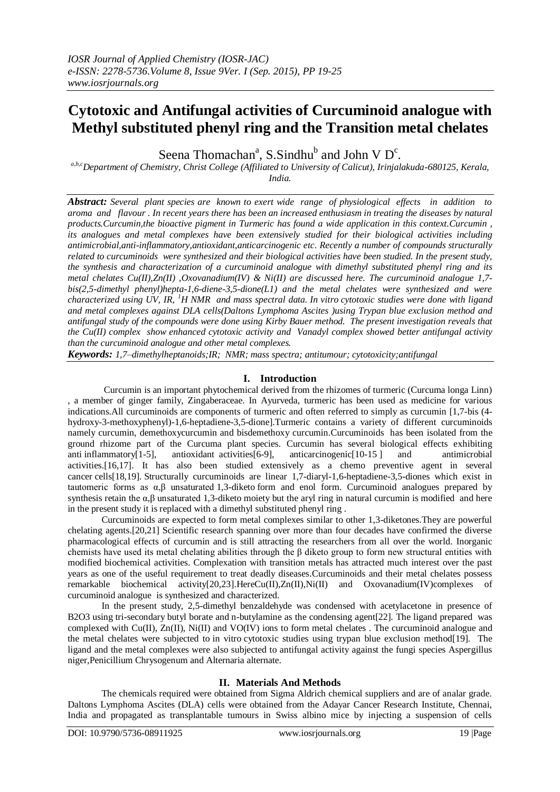# **Cytotoxic and Antifungal activities of Curcuminoid analogue with Methyl substituted phenyl ring and the Transition metal chelates**

Seena Thomachan<sup>a</sup>, S.Sindhu<sup>b</sup> and John V D<sup>c</sup>.

*a,b,cDepartment of Chemistry, Christ College (Affiliated to University of Calicut), Irinjalakuda-680125, Kerala, India.*

*Abstract: Several plant species are known to exert wide range of physiological effects in addition to aroma and flavour . In recent years there has been an increased enthusiasm in treating the diseases by natural products.Curcumin,the bioactive pigment in Turmeric has found a wide application in this context.Curcumin , its analogues and metal complexes have been extensively studied for their biological activities including antimicrobial,anti-inflammatory,antioxidant,anticarcinogenic etc. Recently a number of compounds structurally related to curcuminoids were synthesized and their biological activities have been studied. In the present study, the synthesis and characterization of a curcuminoid analogue with dimethyl substituted phenyl ring and its metal chelates Cu(II),Zn(II) ,Oxovanadium(IV) & Ni(II) are discussed here. The curcuminoid analogue 1,7 bis(2,5-dimethyl phenyl)hepta-1,6-diene-3,5-dione(L1) and the metal chelates were synthesized and were characterized using UV, IR, <sup>1</sup>H NMR and mass spectral data. In vitro cytotoxic studies were done with ligand and metal complexes against DLA cells(Daltons Lymphoma Ascites )using Trypan blue exclusion method and antifungal study of the compounds were done using Kirby Bauer method. The present investigation reveals that the Cu(II) complex show enhanced cytotoxic activity and Vanadyl complex showed better antifungal activity than the curcuminoid analogue and other metal complexes.*

*Keywords: 1,7–dimethylheptanoids;IR; NMR; mass spectra; antitumour; cytotoxicity;antifungal*

### **I. Introduction**

 Curcumin is an important phytochemical derived from the rhizomes of turmeric (Curcuma longa Linn) , a member of ginger family, Zingaberaceae. In Ayurveda, turmeric has been used as medicine for various indications.All curcuminoids are components of turmeric and often referred to simply as curcumin [1,7-bis (4 hydroxy-3-methoxyphenyl)-1,6-heptadiene-3,5-dione].Turmeric contains a variety of different curcuminoids namely curcumin, demethoxycurcumin and bisdemethoxy curcumin.Curcuminoids has been isolated from the ground rhizome part of the Curcuma plant species. Curcumin has several biological effects exhibiting anti inflammatory[1-5], antioxidant activities[6-9], anticarcinogenic[10-15 ] and antimicrobial activities.[16,17]. It has also been studied extensively as a chemo preventive agent in several cancer cells[18,19]. Structurally curcuminoids are linear 1,7-diaryl-1,6-heptadiene-3,5-diones which exist in tautomeric forms as α,β unsaturated 1,3-diketo form and enol form. Curcuminoid analogues prepared by synthesis retain the  $\alpha, \beta$  unsaturated 1,3-diketo moiety but the aryl ring in natural curcumin is modified and here in the present study it is replaced with a dimethyl substituted phenyl ring .

Curcuminoids are expected to form metal complexes similar to other 1,3-diketones.They are powerful chelating agents.[20,21] Scientific research spanning over more than four decades have confirmed the diverse pharmacological effects of curcumin and is still attracting the researchers from all over the world. Inorganic chemists have used its metal chelating abilities through the β diketo group to form new structural entities with modified biochemical activities. Complexation with transition metals has attracted much interest over the past years as one of the useful requirement to treat deadly diseases.Curcuminoids and their metal chelates possess remarkable biochemical activity[20,23].HereCu(II),Zn(II),Ni(II) and Oxovanadium(IV)complexes of curcuminoid analogue is synthesized and characterized.

In the present study, 2,5-dimethyl benzaldehyde was condensed with acetylacetone in presence of B2O3 using tri-secondary butyl borate and n-butylamine as the condensing agent[22]. The ligand prepared was complexed with Cu(II), Zn(II), Ni(II) and VO(IV) ions to form metal chelates . The curcuminoid analogue and the metal chelates were subjected to in vitro cytotoxic studies using trypan blue exclusion method[19]. The ligand and the metal complexes were also subjected to antifungal activity against the fungi species Aspergillus niger,Penicillium Chrysogenum and Alternaria alternate.

### **II. Materials And Methods**

The chemicals required were obtained from Sigma Aldrich chemical suppliers and are of analar grade. Daltons Lymphoma Ascites (DLA) cells were obtained from the Adayar Cancer Research Institute, Chennai, India and propagated as transplantable tumours in Swiss albino mice by injecting a suspension of cells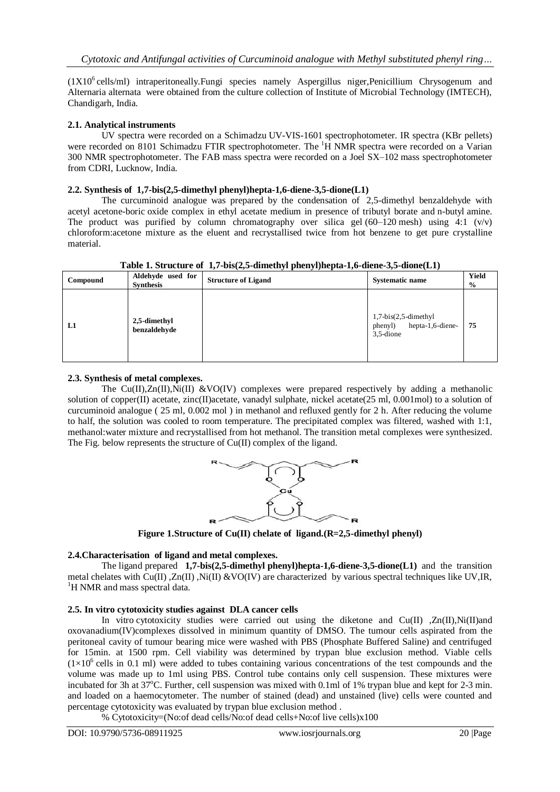(1X10<sup>6</sup> cells/ml) intraperitoneally. Fungi species namely Aspergillus niger, Penicillium Chrysogenum and Alternaria alternata were obtained from the culture collection of Institute of Microbial Technology (IMTECH), Chandigarh, India.

# **2.1. Analytical instruments**

UV spectra were recorded on a Schimadzu UV-VIS-1601 spectrophotometer. IR spectra (KBr pellets) were recorded on 8101 Schimadzu FTIR spectrophotometer. The <sup>1</sup>H NMR spectra were recorded on a Varian 300 NMR spectrophotometer. The FAB mass spectra were recorded on a Joel SX–102 mass spectrophotometer from CDRI, Lucknow, India.

### **2.2. Synthesis of 1,7-bis(2,5-dimethyl phenyl)hepta-1,6-diene-3,5-dione(L1)**

The curcuminoid analogue was prepared by the condensation of 2,5-dimethyl benzaldehyde with acetyl acetone-boric oxide complex in ethyl acetate medium in presence of tributyl borate and n-butyl amine. The product was purified by column chromatography over silica gel  $(60-120 \text{ mesh})$  using 4:1  $(v/v)$ chloroform:acetone mixture as the eluent and recrystallised twice from hot benzene to get pure crystalline material.

| Compound | Aldehyde used for<br><b>Synthesis</b> | . .<br>.<br><b>Structure of Ligand</b> | <b>Systematic name</b>                                          | Yield<br>$\frac{1}{2}$ |
|----------|---------------------------------------|----------------------------------------|-----------------------------------------------------------------|------------------------|
| L1       | 2,5-dimethyl<br>benzaldehyde          |                                        | $1,7-bis(2,5-dimethyl$<br>phenyl) hepta-1,6-diene-<br>3.5-dione | 75                     |

**Table 1. Structure of 1,7-bis(2,5-dimethyl phenyl)hepta-1,6-diene-3,5-dione(L1)**

### **2.3. Synthesis of metal complexes.**

The  $Cu(II),Zn(II),\tilde{N}I(II)$  &VO(IV) complexes were prepared respectively by adding a methanolic solution of copper(II) acetate, zinc(II)acetate, vanadyl sulphate, nickel acetate(25 ml, 0.001mol) to a solution of curcuminoid analogue ( 25 ml, 0.002 mol ) in methanol and refluxed gently for 2 h. After reducing the volume to half, the solution was cooled to room temperature. The precipitated complex was filtered, washed with 1:1, methanol:water mixture and recrystallised from hot methanol. The transition metal complexes were synthesized. The Fig. below represents the structure of Cu(II) complex of the ligand.



**Figure 1.Structure of Cu(II) chelate of ligand.(R=2,5-dimethyl phenyl)**

# **2.4.Characterisation of ligand and metal complexes.**

The ligand prepared **1,7-bis(2,5-dimethyl phenyl)hepta-1,6-diene-3,5-dione(L1)** and the transition metal chelates with Cu(II) ,Zn(II) ,Ni(II) &VO(IV) are characterized by various spectral techniques like UV,IR, <sup>1</sup>H NMR and mass spectral data.

### **2.5. In vitro cytotoxicity studies against DLA cancer cells**

In vitro cytotoxicity studies were carried out using the diketone and  $Cu(II)$  , $Zn(II)$ , $Ni(II)$ oxovanadium(IV)complexes dissolved in minimum quantity of DMSO. The tumour cells aspirated from the peritoneal cavity of tumour bearing mice were washed with PBS (Phosphate Buffered Saline) and centrifuged for 15min. at 1500 rpm. Cell viability was determined by trypan blue exclusion method. Viable cells  $(1\times10^6 \text{ cells in } 0.1 \text{ ml})$  were added to tubes containing various concentrations of the test compounds and the volume was made up to 1ml using PBS. Control tube contains only cell suspension. These mixtures were incubated for 3h at  $37^{\circ}$ C. Further, cell suspension was mixed with 0.1ml of 1% trypan blue and kept for 2-3 min. and loaded on a haemocytometer. The number of stained (dead) and unstained (live) cells were counted and percentage cytotoxicity was evaluated by trypan blue exclusion method .

% Cytotoxicity=(No:of dead cells/No:of dead cells+No:of live cells)x100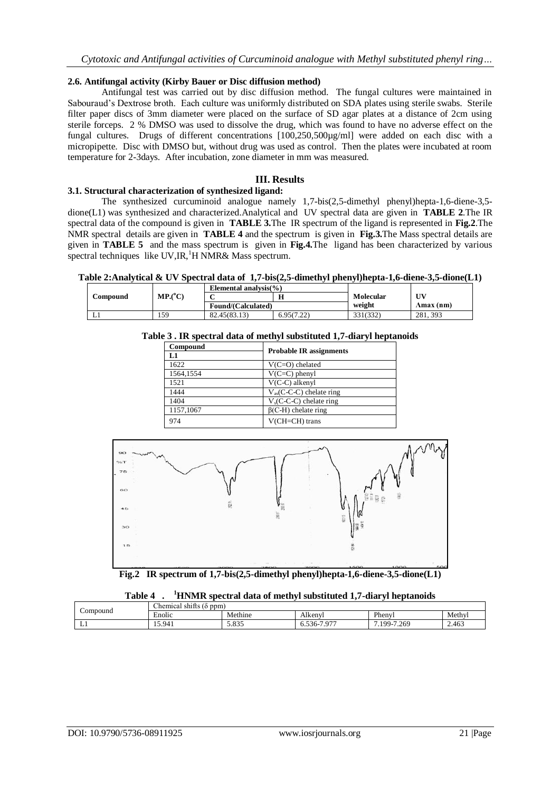### **2.6. Antifungal activity (Kirby Bauer or Disc diffusion method)**

Antifungal test was carried out by disc diffusion method. The fungal cultures were maintained in Sabouraud's Dextrose broth. Each culture was uniformly distributed on SDA plates using sterile swabs. Sterile filter paper discs of 3mm diameter were placed on the surface of SD agar plates at a distance of 2cm using sterile forceps. 2 % DMSO was used to dissolve the drug, which was found to have no adverse effect on the fungal cultures. Drugs of different concentrations [100,250,500µg/ml] were added on each disc with a micropipette. Disc with DMSO but, without drug was used as control. Then the plates were incubated at room temperature for 2-3days. After incubation, zone diameter in mm was measured.

# **III. Results**

### **3.1. Structural characterization of synthesized ligand:**

The synthesized curcuminoid analogue namely 1,7-bis(2,5-dimethyl phenyl)hepta-1,6-diene-3,5 dione(L1) was synthesized and characterized.Analytical and UV spectral data are given in **TABLE 2**.The IR spectral data of the compound is given in **TABLE 3.**The IR spectrum of the ligand is represented in **Fig.2**.The NMR spectral details are given in **TABLE 4** and the spectrum is given in **Fig.3.**The Mass spectral details are given in **TABLE 5** and the mass spectrum is given in **Fig.4.**The ligand has been characterized by various spectral techniques like  $UV,IR,{}^{1}H NMR\&$  Mass spectrum.

**Table 2:Analytical & UV Spectral data of 1,7-bis(2,5-dimethyl phenyl)hepta-1,6-diene-3,5-dione(L1)**

|          |                                | Elemental analysis( $\%$ ) |        |           |           |
|----------|--------------------------------|----------------------------|--------|-----------|-----------|
| Compound | $\mathbf{MP}$ .( $^{\circ}$ C) |                            |        | Molecular | UV        |
|          |                                | Found/(Calculated)         |        | weight    | Amax (nm) |
|          | 59ء                            | 82.45(83.13)               | 6.9507 | 331(332)  | 281.393   |

### **Table 3 . IR spectral data of methyl substituted 1,7-diaryl heptanoids**

| Compound  |                                |
|-----------|--------------------------------|
| L1        | <b>Probable IR assignments</b> |
| 1622      | $V(C=O)$ chelated              |
| 1564,1554 | $V(C=C)$ phenyl                |
| 1521      | $V(C-C)$ alkenyl               |
| 1444      | $V_{as}(C-C-C)$ chelate ring   |
| 1404      | $V_s$ (C-C-C) chelate ring     |
| 1157,1067 | $\beta$ (C-H) chelate ring     |
| 974       | $V(CH=CH)$ trans               |



**Fig.2 IR spectrum of 1,7-bis(2,5-dimethyl phenyl)hepta-1,6-diene-3,5-dione(L1)**

# **Table 4 . <sup>1</sup>HNMR spectral data of methyl substituted 1,7-diaryl heptanoids**

| Compound | ~<br>$\sim$<br>(ppm<br>Chemical<br>shitts (d  |         |                          |                |                 |  |  |  |
|----------|-----------------------------------------------|---------|--------------------------|----------------|-----------------|--|--|--|
|          | $\cdot$<br>$\overline{\phantom{0}}$<br>Enolic | Methine | Alkeny.                  | Phenvl         | Methyl          |  |  |  |
| . .      | 15.941                                        | 5.835   | $107^{\circ}$<br>6.536-7 | -7.269<br>100. | 2.463<br>$\sim$ |  |  |  |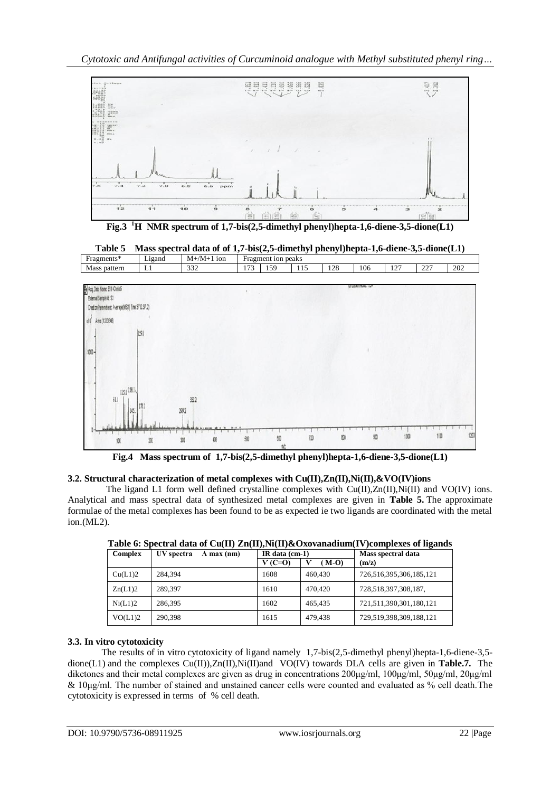*Cytotoxic and Antifungal activities of Curcuminoid analogue with Methyl substituted phenyl ring…*



**Fig.3 <sup>1</sup>H NMR spectrum of 1,7-bis(2,5-dimethyl phenyl)hepta-1,6-diene-3,5-dione(L1)**



**Fig.4 Mass spectrum of 1,7-bis(2,5-dimethyl phenyl)hepta-1,6-diene-3,5-dione(L1)**

# **3.2. Structural characterization of metal complexes with Cu(II),Zn(II),Ni(II),&VO(IV)ions**

The ligand L1 form well defined crystalline complexes with  $Cu(II),Zn(II),Ni(II)$  and VO(IV) ions. Analytical and mass spectral data of synthesized metal complexes are given in **Table 5.** The approximate formulae of the metal complexes has been found to be as expected ie two ligands are coordinated with the metal ion.(ML2).

|         |                                  | -                |         |                         |  |  |
|---------|----------------------------------|------------------|---------|-------------------------|--|--|
| Complex | UV spectra<br>$\Lambda$ max (nm) | IR data $(cm-1)$ |         | Mass spectral data      |  |  |
|         |                                  | $V(C=0)$         | $(M-O)$ | (m/z)                   |  |  |
| Cu(L1)2 | 284.394                          | 1608             | 460,430 | 726,516,395,306,185,121 |  |  |
| Zn(L1)2 | 289.397                          | 1610             | 470,420 | 728,518,397,308,187,    |  |  |
| Ni(L1)2 | 286,395                          | 1602             | 465.435 | 721,511,390,301,180,121 |  |  |
| VO(L1)2 | 290,398                          | 1615             | 479.438 | 729,519,398,309,188,121 |  |  |

**Table 6: Spectral data of Cu(II) Zn(II),Ni(II)&Oxovanadium(IV)complexes of ligands**

# **3.3. In vitro cytotoxicity**

The results of in vitro cytotoxicity of ligand namely 1,7-bis(2,5-dimethyl phenyl)hepta-1,6-diene-3,5 dione(L1) and the complexes Cu(II)),Zn(II),Ni(II)and VO(IV) towards DLA cells are given in **Table.7.** The diketones and their metal complexes are given as drug in concentrations 200μg/ml, 100μg/ml, 50μg/ml, 20μg/ml & 10μg/ml. The number of stained and unstained cancer cells were counted and evaluated as % cell death.The cytotoxicity is expressed in terms of % cell death.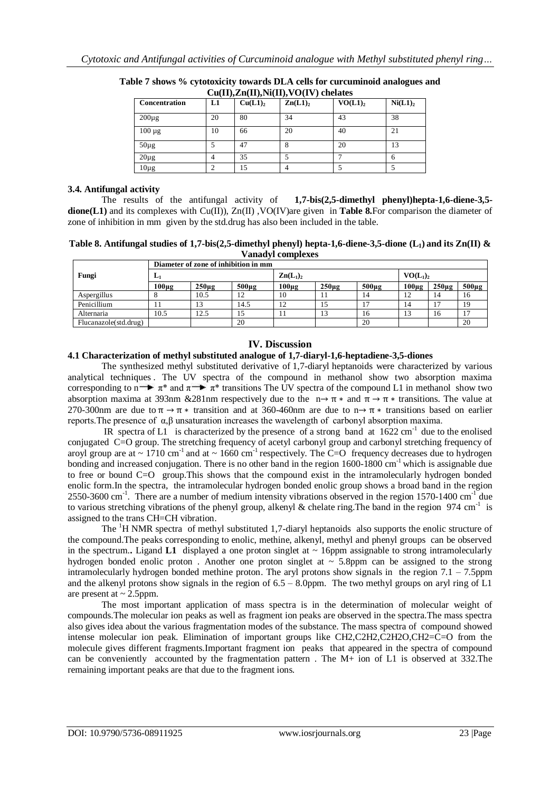| <b>Concentration</b> | L1 | Cu(L1) <sub>2</sub> | $\mathbf{C}u(\mathbf{H})$ , $\mathbf{Z}u(\mathbf{H})$ , $\mathbf{W}(\mathbf{H})$ , $\mathbf{V}(\mathbf{H})$ , $\mathbf{V}(\mathbf{H})$<br>$\mathbf{Zn(L1)}_{2}$ | $VO(L1)_2$ | Ni(L1) <sub>2</sub> |
|----------------------|----|---------------------|-----------------------------------------------------------------------------------------------------------------------------------------------------------------|------------|---------------------|
| $200\mu$ g           | 20 | 80                  | 34                                                                                                                                                              | 43         | 38                  |
| $100 \mu g$          | 10 | 66                  | 20                                                                                                                                                              | 40         | 21                  |
| $50\mu$ g            | 5  | 47                  | 8                                                                                                                                                               | 20         | 13                  |
| $20\mu$ g            | 4  | 35                  |                                                                                                                                                                 |            |                     |
| $10\mu$ g            |    | 15                  |                                                                                                                                                                 |            |                     |

**Table 7 shows % cytotoxicity towards DLA cells for curcuminoid analogues and Cu(II),Zn(II),Ni(II),VO(IV) chelates**

# **3.4. Antifungal activity**

The results of the antifungal activity of **1,7-bis(2,5-dimethyl phenyl)hepta-1,6-diene-3,5 dione(L1)** and its complexes with Cu(II)), Zn(II) ,VO(IV)are given in **Table 8.**For comparison the diameter of zone of inhibition in mm given by the std.drug has also been included in the table.

**Table 8. Antifungal studies of 1,7-bis(2,5-dimethyl phenyl) hepta-1,6-diene-3,5-dione (L1) and its Zn(II) & Vanadyl complexes**

|                       | Diameter of zone of inhibition in mm |            |            |                             |            |            |            |                   |            |  |
|-----------------------|--------------------------------------|------------|------------|-----------------------------|------------|------------|------------|-------------------|------------|--|
| Fungi                 | L1                                   |            |            | $\mathbf{Zn}(\mathbf{L}_1)$ |            |            |            | $VO(L_1)$         |            |  |
|                       | $100\mu$ g                           | $250\mu g$ | $500\mu$ g | $100\mu$ g                  | $250\mu g$ | $500\mu$ g | $100\mu$ g | 250 <sub>µg</sub> | $500\mu g$ |  |
| Aspergillus           |                                      | 10.5       | 12         | 10                          |            | 14         |            | 14                | 16         |  |
| Penicillium           |                                      |            | 14.5       | 12                          | 15         |            | 14         |                   | 19         |  |
| Alternaria            | 10.5                                 | 12.5       | 15         | 11                          | 13         | 16         | 13         | 16                |            |  |
| Flucanazole(std.drug) |                                      |            | 20         |                             |            | 20         |            |                   | 20         |  |

# **IV. Discussion**

### **4.1 Characterization of methyl substituted analogue of 1,7-diaryl-1,6-heptadiene-3,5-diones**

The synthesized methyl substituted derivative of 1,7-diaryl heptanoids were characterized by various analytical techniques . The UV spectra of the compound in methanol show two absorption maxima corresponding to  $\overrightarrow{n}$  π<sup>\*</sup> and  $\overrightarrow{n}$  π<sup>\*</sup> transitions The UV spectra of the compound L1 in methanol show two absorption maxima at 393nm &281nm respectively due to the  $n \rightarrow \pi *$  and  $\pi \rightarrow \pi *$  transitions. The value at 270-300nm are due to  $\pi \rightarrow \pi$  *κ* transition and at 360-460nm are due to  $n \rightarrow \pi$  *κ* transitions based on earlier reports.The presence of α,β unsaturation increases the wavelength of carbonyl absorption maxima.

IR spectra of L1 is characterized by the presence of a strong band at  $1622 \text{ cm}^{-1}$  due to the enolised conjugated C=O group. The stretching frequency of acetyl carbonyl group and carbonyl stretching frequency of aroyl group are at  $\sim 1710 \text{ cm}^{-1}$  and at  $\sim 1660 \text{ cm}^{-1}$  respectively. The C=O frequency decreases due to hydrogen bonding and increased conjugation. There is no other band in the region 1600-1800 cm<sup>-1</sup> which is assignable due to free or bound C=O group.This shows that the compound exist in the intramolecularly hydrogen bonded enolic form.In the spectra, the intramolecular hydrogen bonded enolic group shows a broad band in the region 2550-3600 cm<sup>-1</sup>. There are a number of medium intensity vibrations observed in the region 1570-1400 cm<sup>-1</sup> due to various stretching vibrations of the phenyl group, alkenyl & chelate ring. The band in the region 974 cm<sup>-1</sup> is assigned to the trans CH=CH vibration.

The <sup>1</sup>H NMR spectra of methyl substituted 1,7-diaryl heptanoids also supports the enolic structure of the compound.The peaks corresponding to enolic, methine, alkenyl, methyl and phenyl groups can be observed in the spectrum. Ligand L1 displayed a one proton singlet at  $\sim$  16ppm assignable to strong intramolecularly hydrogen bonded enolic proton. Another one proton singlet at  $\sim$  5.8ppm can be assigned to the strong intramolecularly hydrogen bonded methine proton. The aryl protons show signals in the region  $7.1 - 7.5$ ppm and the alkenyl protons show signals in the region of  $6.5 - 8.0$  ppm. The two methyl groups on aryl ring of  $L1$ are present at  $\sim$  2.5ppm.

The most important application of mass spectra is in the determination of molecular weight of compounds.The molecular ion peaks as well as fragment ion peaks are observed in the spectra.The mass spectra also gives idea about the various fragmentation modes of the substance. The mass spectra of compound showed intense molecular ion peak. Elimination of important groups like CH2,C2H2,C2H2O,CH2=C=O from the molecule gives different fragments.Important fragment ion peaks that appeared in the spectra of compound can be conveniently accounted by the fragmentation pattern. The M+ ion of L1 is observed at 332. The remaining important peaks are that due to the fragment ions.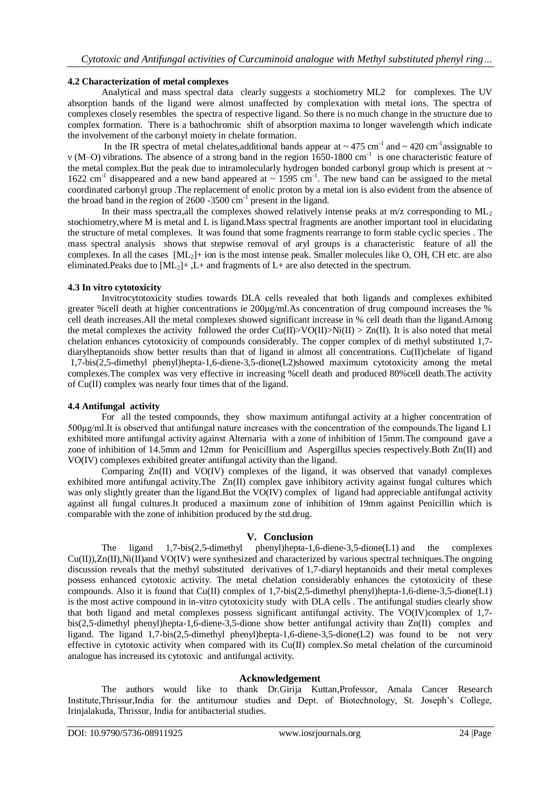# **4.2 Characterization of metal complexes**

Analytical and mass spectral data clearly suggests a stochiometry ML2 for complexes. The UV absorption bands of the ligand were almost unaffected by complexation with metal ions. The spectra of complexes closely resembles the spectra of respective ligand. So there is no much change in the structure due to complex formation. There is a bathochromic shift of absorption maxima to longer wavelength which indicate the involvement of the carbonyl moiety in chelate formation.

In the IR spectra of metal chelates, additional bands appear at  $\sim 475$  cm<sup>-1</sup> and  $\sim 420$  cm<sup>-1</sup> assignable to v (M–O) vibrations. The absence of a strong band in the region 1650-1800 cm<sup>-1</sup> is one characteristic feature of the metal complex.But the peak due to intramolecularly hydrogen bonded carbonyl group which is present at  $\sim$ 1622 cm<sup>-1</sup> disappeared and a new band appeared at ~ 1595 cm<sup>-1</sup>. The new band can be assigned to the metal coordinated carbonyl group .The replacement of enolic proton by a metal ion is also evident from the absence of the broad band in the region of 2600 -3500 cm<sup>-1</sup> present in the ligand.

In their mass spectra, all the complexes showed relatively intense peaks at  $m/z$  corresponding to  $ML<sub>2</sub>$ stochiometry,where M is metal and L is ligand.Mass spectral fragments are another important tool in elucidating the structure of metal complexes. It was found that some fragments rearrange to form stable cyclic species . The mass spectral analysis shows that stepwise removal of aryl groups is a characteristic feature of all the complexes. In all the cases [ML2]+ ion is the most intense peak. Smaller molecules like O, OH, CH etc. are also eliminated.Peaks due to  $[ML_2]+$ , L+ and fragments of L+ are also detected in the spectrum.

### **4.3 In vitro cytotoxicity**

Invitrocytotoxicity studies towards DLA cells revealed that both ligands and complexes exhibited greater %cell death at higher concentrations ie 200µg/ml.As concentration of drug compound increases the % cell death increases.All the metal complexes showed significant increase in % cell death than the ligand.Among the metal complexes the activity followed the order  $Cu(II)$ >VO(II)>Ni(II) > Zn(II). It is also noted that metal chelation enhances cytotoxicity of compounds considerably. The copper complex of di methyl substituted 1,7 diarylheptanoids show better results than that of ligand in almost all concentrations. Cu(II)chelate of ligand 1,7-bis(2,5-dimethyl phenyl)hepta-1,6-diene-3,5-dione(L2)showed maximum cytotoxicity among the metal complexes.The complex was very effective in increasing %cell death and produced 80%cell death.The activity of Cu(II) complex was nearly four times that of the ligand.

### **4.4 Antifungal activity**

For all the tested compounds, they show maximum antifungal activity at a higher concentration of 500μg/ml.It is observed that antifungal nature increases with the concentration of the compounds.The ligand L1 exhibited more antifungal activity against Alternaria with a zone of inhibition of 15mm.The compound gave a zone of inhibition of 14.5mm and 12mm for Penicillium and Aspergillus species respectively.Both Zn(II) and VO(IV) complexes exhibited greater antifungal activity than the ligand.

 Comparing Zn(II) and VO(IV) complexes of the ligand, it was observed that vanadyl complexes exhibited more antifungal activity.The Zn(II) complex gave inhibitory activity against fungal cultures which was only slightly greater than the ligand.But the VO(IV) complex of ligand had appreciable antifungal activity against all fungal cultures.It produced a maximum zone of inhibition of 19mm against Penicillin which is comparable with the zone of inhibition produced by the std.drug.

# **V. Conclusion**

The ligand 1,7-bis(2,5-dimethyl phenyl)hepta-1,6-diene-3,5-dione(L1) and the complexes Cu(II)),Zn(II),Ni(II)and VO(IV) were synthesized and characterized by various spectral techniques.The ongoing discussion reveals that the methyl substituted derivatives of 1,7-diaryl heptanoids and their metal complexes possess enhanced cytotoxic activity. The metal chelation considerably enhances the cytotoxicity of these compounds. Also it is found that Cu(II) complex of 1,7-bis(2,5-dimethyl phenyl)hepta-1,6-diene-3,5-dione(L1) is the most active compound in in-vitro cytotoxicity study with DLA cells . The antifungal studies clearly show that both ligand and metal complexes possess significant antifungal activity. The VO(IV)complex of 1,7 bis(2,5-dimethyl phenyl)hepta-1,6-diene-3,5-dione show better antifungal activity than Zn(II) complex and ligand. The ligand 1,7-bis(2,5-dimethyl phenyl)hepta-1,6-diene-3,5-dione(L2) was found to be not very effective in cytotoxic activity when compared with its Cu(II) complex.So metal chelation of the curcuminoid analogue has increased its cytotoxic and antifungal activity.

# **Acknowledgement**

The authors would like to thank Dr.Girija Kuttan,Professor, Amala Cancer Research Institute,Thrissur,India for the antitumour studies and Dept. of Biotechnology, St. Joseph's College, Irinjalakuda, Thrissur, India for antibacterial studies.